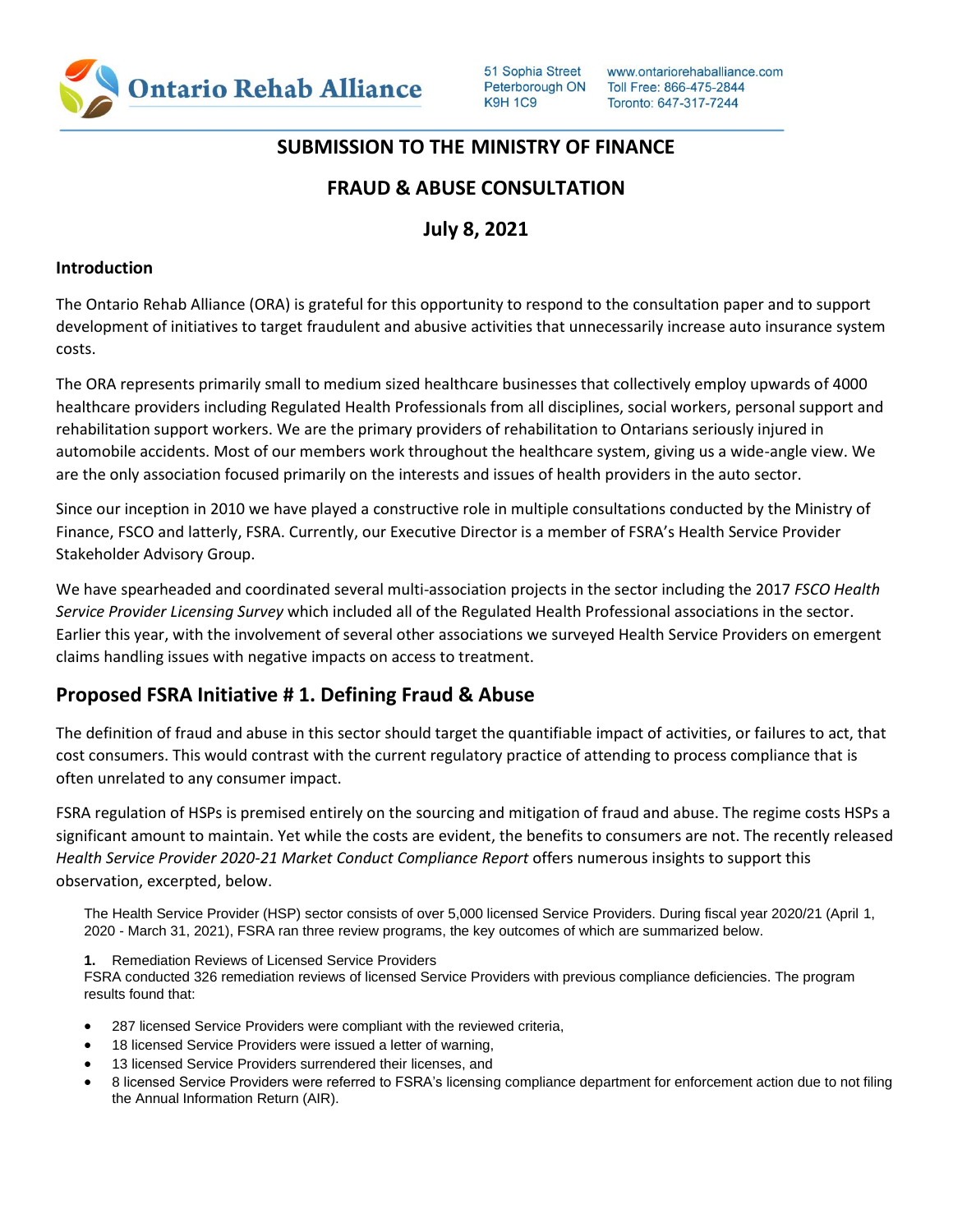

# **SUBMISSION TO THE MINISTRY OF FINANCE**

## **FRAUD & ABUSE CONSULTATION**

# **July 8, 2021**

#### **Introduction**

The Ontario Rehab Alliance (ORA) is grateful for this opportunity to respond to the consultation paper and to support development of initiatives to target fraudulent and abusive activities that unnecessarily increase auto insurance system costs.

The ORA represents primarily small to medium sized healthcare businesses that collectively employ upwards of 4000 healthcare providers including Regulated Health Professionals from all disciplines, social workers, personal support and rehabilitation support workers. We are the primary providers of rehabilitation to Ontarians seriously injured in automobile accidents. Most of our members work throughout the healthcare system, giving us a wide-angle view. We are the only association focused primarily on the interests and issues of health providers in the auto sector.

Since our inception in 2010 we have played a constructive role in multiple consultations conducted by the Ministry of Finance, FSCO and latterly, FSRA. Currently, our Executive Director is a member of FSRA's Health Service Provider Stakeholder Advisory Group.

We have spearheaded and coordinated several multi-association projects in the sector including the 2017 *FSCO Health Service Provider Licensing Survey* which included all of the Regulated Health Professional associations in the sector. Earlier this year, with the involvement of several other associations we surveyed Health Service Providers on emergent claims handling issues with negative impacts on access to treatment.

# **Proposed FSRA Initiative # 1. Defining Fraud & Abuse**

The definition of fraud and abuse in this sector should target the quantifiable impact of activities, or failures to act, that cost consumers. This would contrast with the current regulatory practice of attending to process compliance that is often unrelated to any consumer impact.

FSRA regulation of HSPs is premised entirely on the sourcing and mitigation of fraud and abuse. The regime costs HSPs a significant amount to maintain. Yet while the costs are evident, the benefits to consumers are not. The recently released *Health Service Provider 2020-21 Market Conduct Compliance Report* offers numerous insights to support this observation, excerpted, below.

The Health Service Provider (HSP) sector consists of over 5,000 licensed Service Providers. During fiscal year 2020/21 (April 1, 2020 - March 31, 2021), FSRA ran three review programs, the key outcomes of which are summarized below.

**1.** Remediation Reviews of Licensed Service Providers

FSRA conducted 326 remediation reviews of licensed Service Providers with previous compliance deficiencies. The program results found that:

- 287 licensed Service Providers were compliant with the reviewed criteria,
- 18 licensed Service Providers were issued a letter of warning,
- 13 licensed Service Providers surrendered their licenses, and
- 8 licensed Service Providers were referred to FSRA's licensing compliance department for enforcement action due to not filing the Annual Information Return (AIR).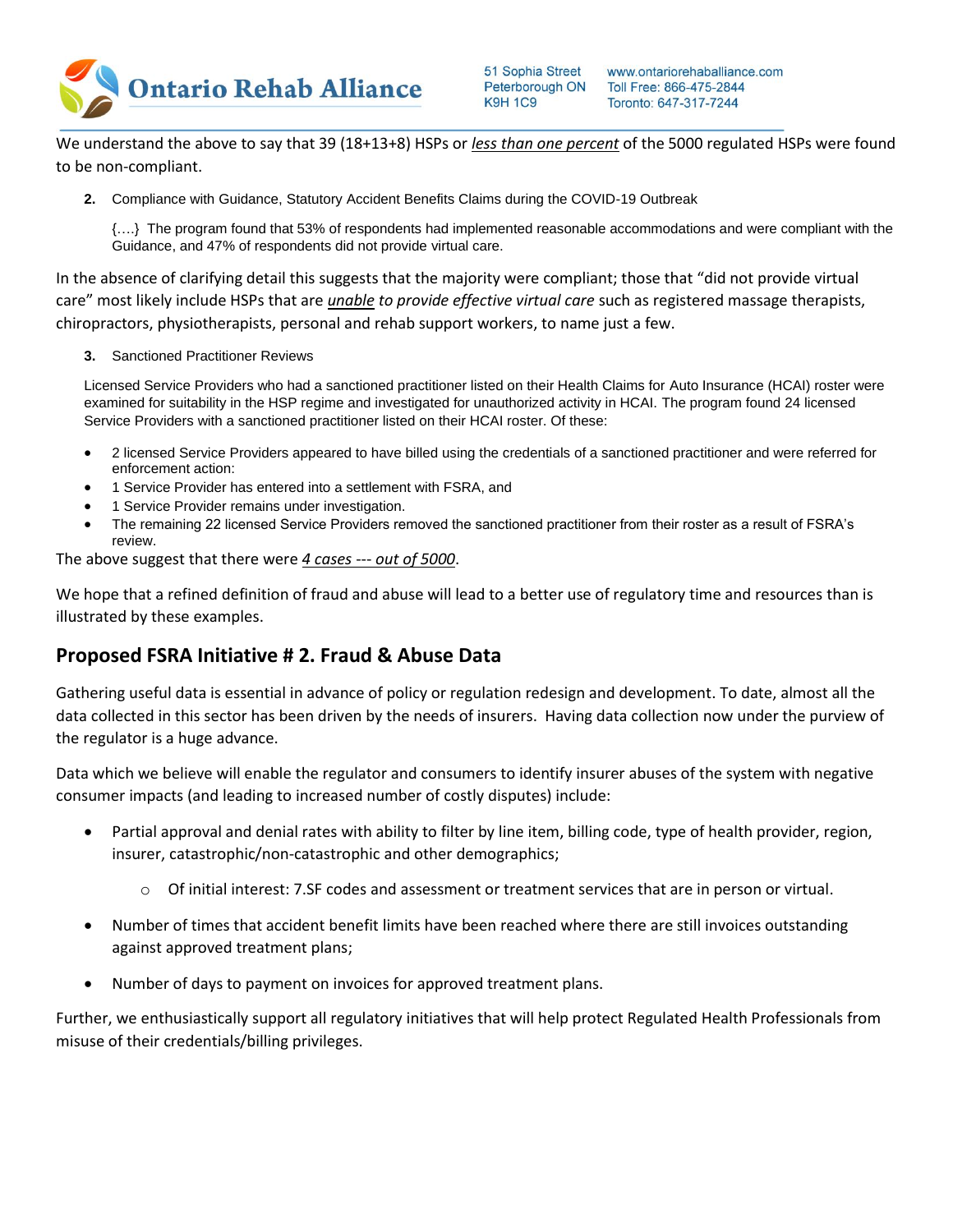

We understand the above to say that 39 (18+13+8) HSPs or *less than one percent* of the 5000 regulated HSPs were found to be non-compliant.

**2.** Compliance with Guidance, Statutory Accident Benefits Claims during the COVID-19 Outbreak

{….} The program found that 53% of respondents had implemented reasonable accommodations and were compliant with the Guidance, and 47% of respondents did not provide virtual care.

In the absence of clarifying detail this suggests that the majority were compliant; those that "did not provide virtual care" most likely include HSPs that are *unable to provide effective virtual care* such as registered massage therapists, chiropractors, physiotherapists, personal and rehab support workers, to name just a few.

**3.** Sanctioned Practitioner Reviews

Licensed Service Providers who had a sanctioned practitioner listed on their Health Claims for Auto Insurance (HCAI) roster were examined for suitability in the HSP regime and investigated for unauthorized activity in HCAI. The program found 24 licensed Service Providers with a sanctioned practitioner listed on their HCAI roster. Of these:

- 2 licensed Service Providers appeared to have billed using the credentials of a sanctioned practitioner and were referred for enforcement action:
- 1 Service Provider has entered into a settlement with FSRA, and
- 1 Service Provider remains under investigation.
- The remaining 22 licensed Service Providers removed the sanctioned practitioner from their roster as a result of FSRA's review.

The above suggest that there were *4 cases* --- *out of 5000*.

We hope that a refined definition of fraud and abuse will lead to a better use of regulatory time and resources than is illustrated by these examples.

### **Proposed FSRA Initiative # 2. Fraud & Abuse Data**

Gathering useful data is essential in advance of policy or regulation redesign and development. To date, almost all the data collected in this sector has been driven by the needs of insurers. Having data collection now under the purview of the regulator is a huge advance.

Data which we believe will enable the regulator and consumers to identify insurer abuses of the system with negative consumer impacts (and leading to increased number of costly disputes) include:

- Partial approval and denial rates with ability to filter by line item, billing code, type of health provider, region, insurer, catastrophic/non-catastrophic and other demographics;
	- o Of initial interest: 7.SF codes and assessment or treatment services that are in person or virtual.
- Number of times that accident benefit limits have been reached where there are still invoices outstanding against approved treatment plans;
- Number of days to payment on invoices for approved treatment plans.

Further, we enthusiastically support all regulatory initiatives that will help protect Regulated Health Professionals from misuse of their credentials/billing privileges.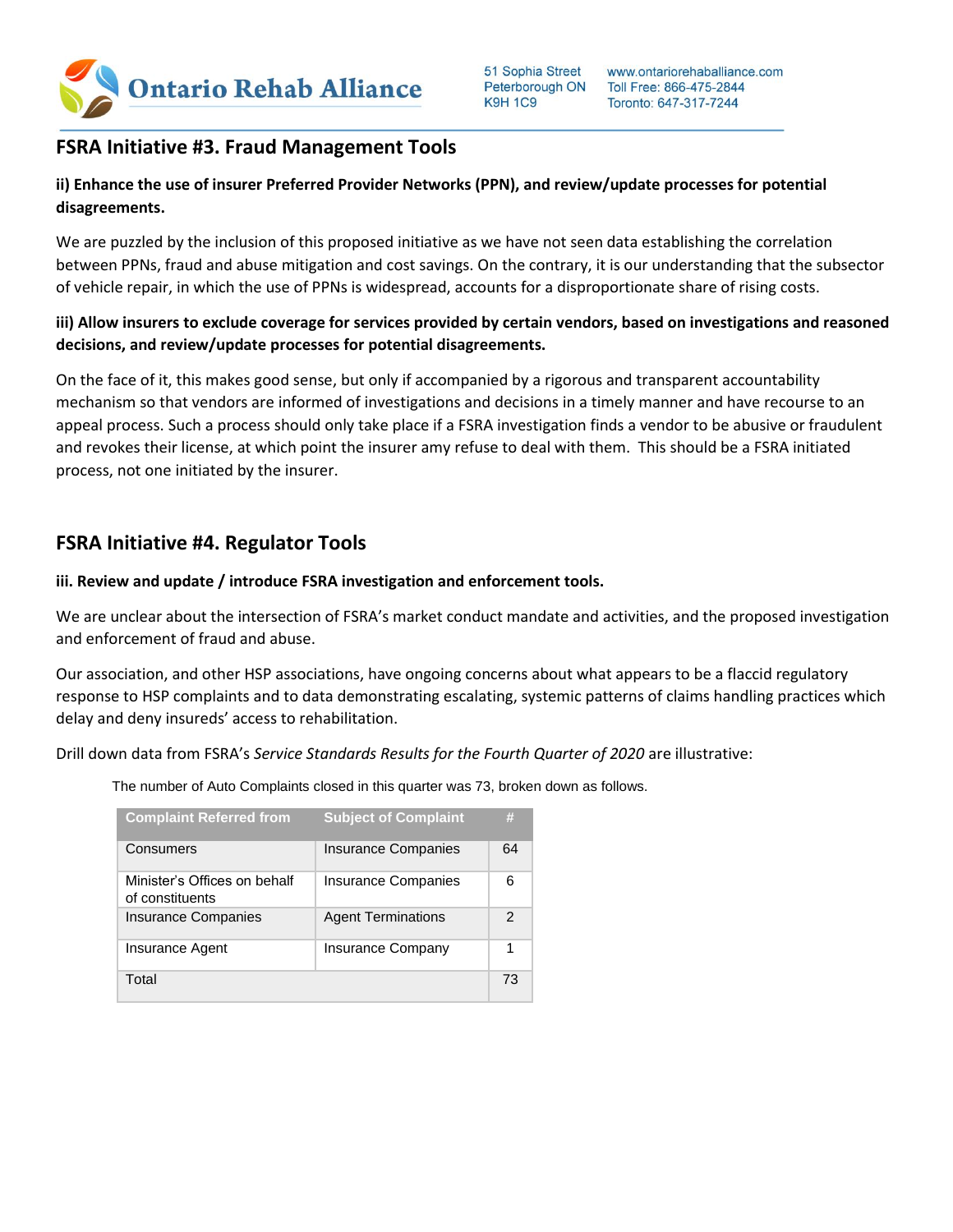

### **FSRA Initiative #3. Fraud Management Tools**

### **ii) Enhance the use of insurer Preferred Provider Networks (PPN), and review/update processes for potential disagreements.**

We are puzzled by the inclusion of this proposed initiative as we have not seen data establishing the correlation between PPNs, fraud and abuse mitigation and cost savings. On the contrary, it is our understanding that the subsector of vehicle repair, in which the use of PPNs is widespread, accounts for a disproportionate share of rising costs.

### **iii) Allow insurers to exclude coverage for services provided by certain vendors, based on investigations and reasoned decisions, and review/update processes for potential disagreements.**

On the face of it, this makes good sense, but only if accompanied by a rigorous and transparent accountability mechanism so that vendors are informed of investigations and decisions in a timely manner and have recourse to an appeal process. Such a process should only take place if a FSRA investigation finds a vendor to be abusive or fraudulent and revokes their license, at which point the insurer amy refuse to deal with them. This should be a FSRA initiated process, not one initiated by the insurer.

# **FSRA Initiative #4. Regulator Tools**

#### **iii. Review and update / introduce FSRA investigation and enforcement tools.**

We are unclear about the intersection of FSRA's market conduct mandate and activities, and the proposed investigation and enforcement of fraud and abuse.

Our association, and other HSP associations, have ongoing concerns about what appears to be a flaccid regulatory response to HSP complaints and to data demonstrating escalating, systemic patterns of claims handling practices which delay and deny insureds' access to rehabilitation.

Drill down data from FSRA's *Service Standards Results for the Fourth Quarter of 2020* are illustrative:

The number of Auto Complaints closed in this quarter was 73, broken down as follows.

| <b>Complaint Referred from</b>                  | <b>Subject of Complaint</b> | #  |
|-------------------------------------------------|-----------------------------|----|
| Consumers                                       | <b>Insurance Companies</b>  | 64 |
| Minister's Offices on behalf<br>of constituents | <b>Insurance Companies</b>  | հ  |
| <b>Insurance Companies</b>                      | <b>Agent Terminations</b>   | 2  |
| Insurance Agent                                 | <b>Insurance Company</b>    |    |
| Total                                           |                             | 73 |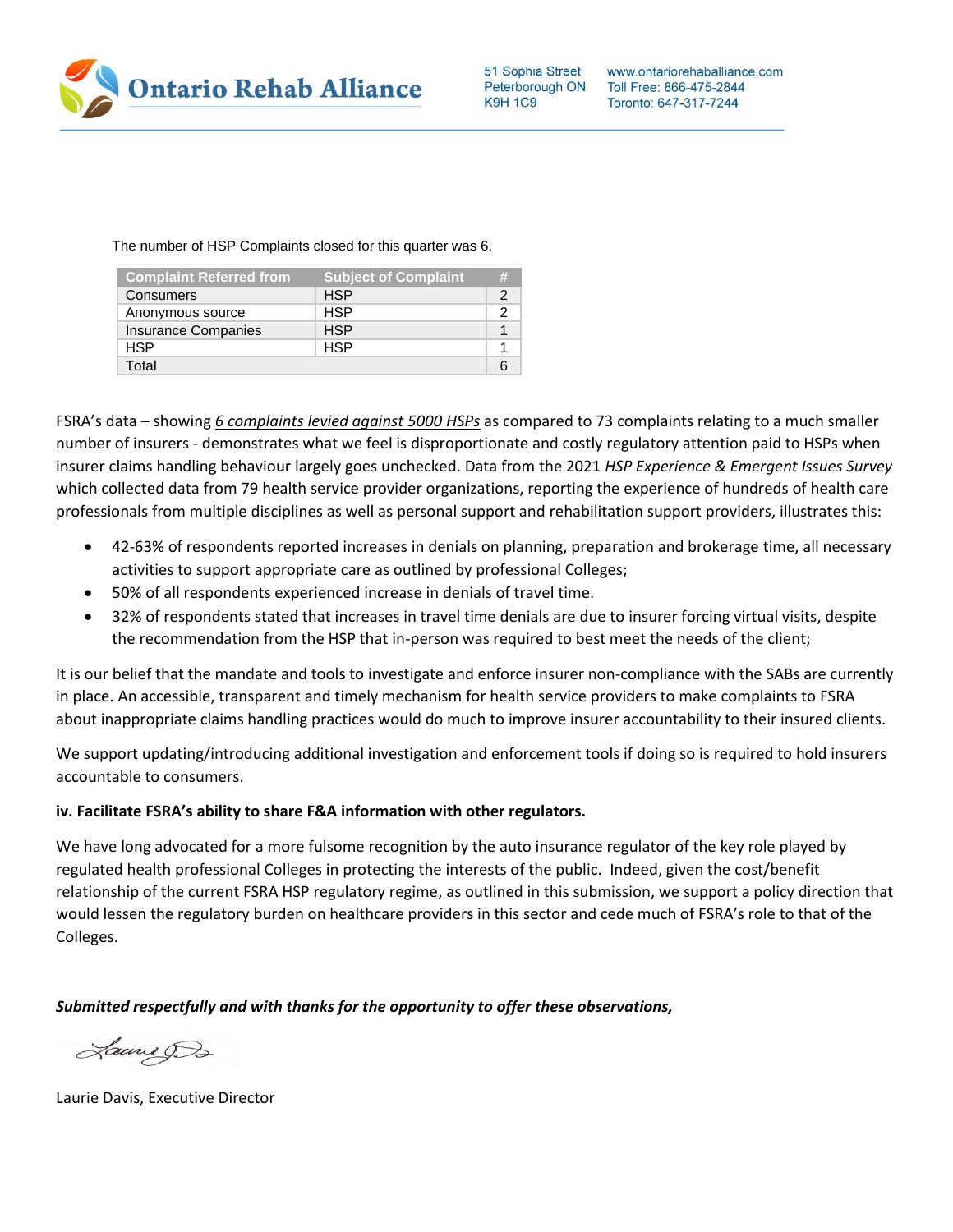

The number of HSP Complaints closed for this quarter was 6.

| <b>Complaint Referred from</b> | <b>Subject of Complaint</b> | # |
|--------------------------------|-----------------------------|---|
| Consumers                      | <b>HSP</b>                  |   |
| Anonymous source               | <b>HSP</b>                  |   |
| <b>Insurance Companies</b>     | <b>HSP</b>                  |   |
| <b>HSP</b>                     | <b>HSP</b>                  |   |
| Total                          |                             |   |

FSRA's data – showing *6 complaints levied against 5000 HSPs* as compared to 73 complaints relating to a much smaller number of insurers - demonstrates what we feel is disproportionate and costly regulatory attention paid to HSPs when insurer claims handling behaviour largely goes unchecked. Data from the 2021 *HSP Experience & Emergent Issues Survey* which collected data from 79 health service provider organizations, reporting the experience of hundreds of health care professionals from multiple disciplines as well as personal support and rehabilitation support providers, illustrates this:

- 42-63% of respondents reported increases in denials on planning, preparation and brokerage time, all necessary activities to support appropriate care as outlined by professional Colleges;
- 50% of all respondents experienced increase in denials of travel time.
- 32% of respondents stated that increases in travel time denials are due to insurer forcing virtual visits, despite the recommendation from the HSP that in-person was required to best meet the needs of the client;

It is our belief that the mandate and tools to investigate and enforce insurer non-compliance with the SABs are currently in place. An accessible, transparent and timely mechanism for health service providers to make complaints to FSRA about inappropriate claims handling practices would do much to improve insurer accountability to their insured clients.

We support updating/introducing additional investigation and enforcement tools if doing so is required to hold insurers accountable to consumers.

#### **iv. Facilitate FSRA's ability to share F&A information with other regulators.**

We have long advocated for a more fulsome recognition by the auto insurance regulator of the key role played by regulated health professional Colleges in protecting the interests of the public. Indeed, given the cost/benefit relationship of the current FSRA HSP regulatory regime, as outlined in this submission, we support a policy direction that would lessen the regulatory burden on healthcare providers in this sector and cede much of FSRA's role to that of the Colleges.

*Submitted respectfully and with thanks for the opportunity to offer these observations,* 

Laune Da

Laurie Davis, Executive Director